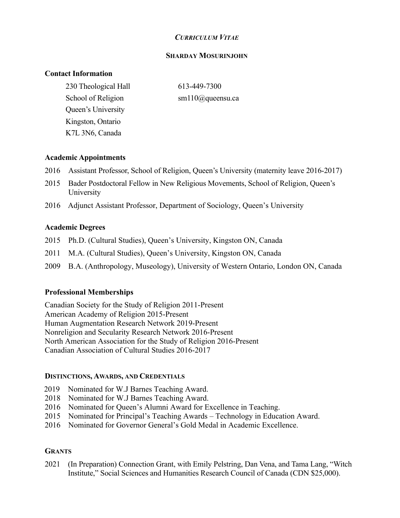# *CURRICULUM VITAE*

## **SHARDAY MOSURINJOHN**

## **Contact Information**

230 Theological Hall School of Religion Queen's University Kingston, Ontario K7L 3N6, Canada

613-449-7300 sm110@queensu.ca

## **Academic Appointments**

- 2016 Assistant Professor, School of Religion, Queen's University (maternity leave 2016-2017)
- 2015 Bader Postdoctoral Fellow in New Religious Movements, School of Religion, Queen's University
- 2016 Adjunct Assistant Professor, Department of Sociology, Queen's University

# **Academic Degrees**

- 2015 Ph.D. (Cultural Studies), Queen's University, Kingston ON, Canada
- 2011 M.A. (Cultural Studies), Queen's University, Kingston ON, Canada
- 2009 B.A. (Anthropology, Museology), University of Western Ontario, London ON, Canada

## **Professional Memberships**

Canadian Society for the Study of Religion 2011-Present American Academy of Religion 2015-Present Human Augmentation Research Network 2019-Present Nonreligion and Secularity Research Network 2016-Present North American Association for the Study of Religion 2016-Present Canadian Association of Cultural Studies 2016-2017

## **DISTINCTIONS, AWARDS, AND CREDENTIALS**

- 2019 Nominated for W.J Barnes Teaching Award.
- 2018 Nominated for W.J Barnes Teaching Award.
- 2016 Nominated for Queen's Alumni Award for Excellence in Teaching.
- 2015 Nominated for Principal's Teaching Awards Technology in Education Award.
- 2016 Nominated for Governor General's Gold Medal in Academic Excellence.

## **GRANTS**

2021 (In Preparation) Connection Grant, with Emily Pelstring, Dan Vena, and Tama Lang, "Witch Institute," Social Sciences and Humanities Research Council of Canada (CDN \$25,000).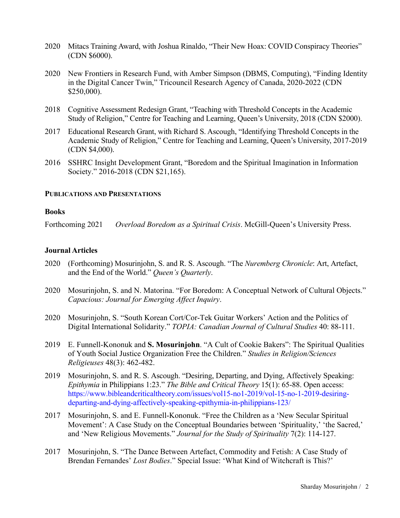- 2020 Mitacs Training Award, with Joshua Rinaldo, "Their New Hoax: COVID Conspiracy Theories" (CDN \$6000).
- 2020 New Frontiers in Research Fund, with Amber Simpson (DBMS, Computing), "Finding Identity in the Digital Cancer Twin," Tricouncil Research Agency of Canada, 2020-2022 (CDN \$250,000).
- 2018 Cognitive Assessment Redesign Grant, "Teaching with Threshold Concepts in the Academic Study of Religion," Centre for Teaching and Learning, Queen's University, 2018 (CDN \$2000).
- 2017 Educational Research Grant, with Richard S. Ascough, "Identifying Threshold Concepts in the Academic Study of Religion," Centre for Teaching and Learning, Queen's University, 2017-2019 (CDN \$4,000).
- 2016 SSHRC Insight Development Grant, "Boredom and the Spiritual Imagination in Information Society." 2016-2018 (CDN \$21,165).

### **PUBLICATIONS AND PRESENTATIONS**

#### **Books**

Forthcoming 2021 *Overload Boredom as a Spiritual Crisis*. McGill-Queen's University Press.

#### **Journal Articles**

- 2020 (Forthcoming) Mosurinjohn, S. and R. S. Ascough. "The *Nuremberg Chronicle*: Art, Artefact, and the End of the World." *Queen's Quarterly*.
- 2020 Mosurinjohn, S. and N. Matorina. "For Boredom: A Conceptual Network of Cultural Objects." *Capacious: Journal for Emerging Affect Inquiry*.
- 2020 Mosurinjohn, S. "South Korean Cort/Cor-Tek Guitar Workers' Action and the Politics of Digital International Solidarity." *TOPIA: Canadian Journal of Cultural Studies* 40: 88-111.
- 2019 E. Funnell-Kononuk and **S. Mosurinjohn**. "A Cult of Cookie Bakers": The Spiritual Qualities of Youth Social Justice Organization Free the Children." *Studies in Religion/Sciences Religieuses* 48(3): 462-482.
- 2019 Mosurinjohn, S. and R. S. Ascough. "Desiring, Departing, and Dying, Affectively Speaking: *Epithymia* in Philippians 1:23." *The Bible and Critical Theory* 15(1): 65-88. Open access: https://www.bibleandcriticaltheory.com/issues/vol15-no1-2019/vol-15-no-1-2019-desiringdeparting-and-dying-affectively-speaking-epithymia-in-philippians-123/
- 2017 Mosurinjohn, S. and E. Funnell-Kononuk. "Free the Children as a 'New Secular Spiritual Movement': A Case Study on the Conceptual Boundaries between 'Spirituality,' 'the Sacred,' and 'New Religious Movements." *Journal for the Study of Spirituality* 7(2): 114-127.
- 2017 Mosurinjohn, S. "The Dance Between Artefact, Commodity and Fetish: A Case Study of Brendan Fernandes' *Lost Bodies*." Special Issue: 'What Kind of Witchcraft is This?'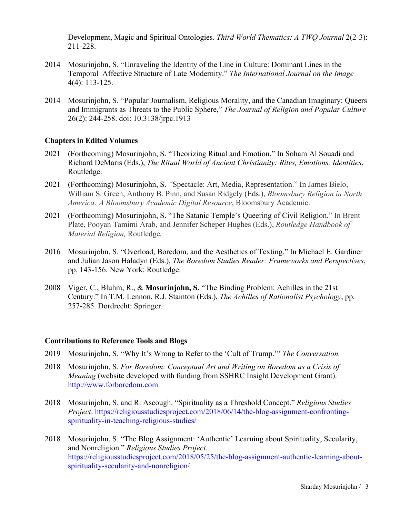Development, Magic and Spiritual Ontologies. *Third World Thematics: A TWQ Journal* 2(2-3): 211-228.

- 2014 Mosurinjohn, S. "Unraveling the Identity of the Line in Culture: Dominant Lines in the Temporal–Affective Structure of Late Modernity." *The International Journal on the Image*  4(4): 113-125.
- 2014 Mosurinjohn, S. "Popular Journalism, Religious Morality, and the Canadian Imaginary: Queers and Immigrants as Threats to the Public Sphere," *The Journal of Religion and Popular Culture* 26(2): 244-258. doi: 10.3138/jrpc.1913

## **Chapters in Edited Volumes**

- 2021 (Forthcoming) Mosurinjohn, S. "Theorizing Ritual and Emotion." In Soham Al Souadi and Richard DeMaris (Eds.), *The Ritual World of Ancient Christianity: Rites, Emotions, Identities*, Routledge.
- 2021 (Forthcoming) Mosurinjohn, S. *"*Spectacle: Art, Media, Representation." In James Bielo, William S. Green, Anthony B. Pinn, and Susan Ridgely (Eds.), *Bloomsbury Religion in North America: A Bloomsbury Academic Digital Resource*, Bloomsbury Academic.
- 2021 (Forthcoming) Mosurinjohn, S. "The Satanic Temple's Queering of Civil Religion." In Brent Plate, Pooyan Tamimi Arab, and Jennifer Scheper Hughes (Eds.), *Routledge Handbook of Material Religion,* Routledge*.*
- 2016 Mosurinjohn, S. "Overload, Boredom, and the Aesthetics of Texting." In Michael E. Gardiner and Julian Jason Haladyn (Eds.), *The Boredom Studies Reader: Frameworks and Perspectives*, pp. 143-156. New York: Routledge.
- 2008 Viger, C., Bluhm, R., & **Mosurinjohn, S.** "The Binding Problem: Achilles in the 21st Century." In T.M. Lennon, R.J. Stainton (Eds.), *The Achilles of Rationalist Psychology*, pp. 257-285. Dordrecht: Springer.

#### **Contributions to Reference Tools and Blogs**

- 2019 Mosurinjohn, S. "Why It's Wrong to Refer to the 'Cult of Trump.'" *The Conversation.*
- 2018 Mosurinjohn, S. *For Boredom: Conceptual Art and Writing on Boredom as a Crisis of Meaning* (website developed with funding from SSHRC Insight Development Grant). http://www.forboredom.com
- 2018 Mosurinjohn, S. and R. Ascough. "Spirituality as a Threshold Concept." *Religious Studies Project*. https://religiousstudiesproject.com/2018/06/14/the-blog-assignment-confrontingspirituality-in-teaching-religious-studies/
- 2018 Mosurinjohn, S. "The Blog Assignment: 'Authentic' Learning about Spirituality, Secularity, and Nonreligion." *Religious Studies Project*. https://religiousstudiesproject.com/2018/05/25/the-blog-assignment-authentic-learning-aboutspirituality-secularity-and-nonreligion/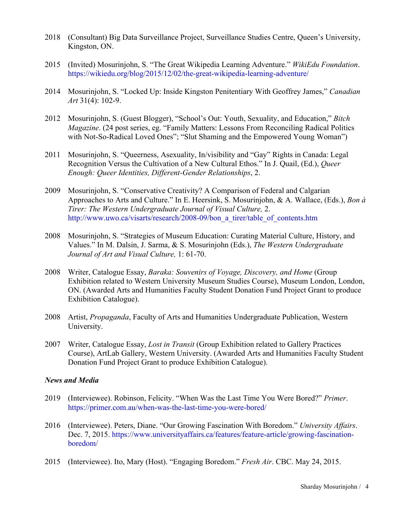- 2018 (Consultant) Big Data Surveillance Project, Surveillance Studies Centre, Queen's University, Kingston, ON.
- 2015 (Invited) Mosurinjohn, S. "The Great Wikipedia Learning Adventure." *WikiEdu Foundation*. https://wikiedu.org/blog/2015/12/02/the-great-wikipedia-learning-adventure/
- 2014 Mosurinjohn, S. "Locked Up: Inside Kingston Penitentiary With Geoffrey James," *Canadian Art* 31(4): 102-9.
- 2012 Mosurinjohn, S. (Guest Blogger), "School's Out: Youth, Sexuality, and Education," *Bitch Magazine*. (24 post series, eg. "Family Matters: Lessons From Reconciling Radical Politics with Not-So-Radical Loved Ones"; "Slut Shaming and the Empowered Young Woman")
- 2011 Mosurinjohn, S. "Queerness, Asexuality, In/visibility and "Gay" Rights in Canada: Legal Recognition Versus the Cultivation of a New Cultural Ethos." In J. Quail, (Ed.), *Queer Enough: Queer Identities, Different-Gender Relationships*, 2.
- 2009 Mosurinjohn, S. "Conservative Creativity? A Comparison of Federal and Calgarian Approaches to Arts and Culture." In E. Heersink, S. Mosurinjohn, & A. Wallace, (Eds.), *Bon à Tirer: The Western Undergraduate Journal of Visual Culture,* 2. http://www.uwo.ca/visarts/research/2008-09/bon\_a\_tirer/table\_of\_contents.htm
- 2008 Mosurinjohn, S. "Strategies of Museum Education: Curating Material Culture, History, and Values." In M. Dalsin, J. Sarma, & S. Mosurinjohn (Eds.), *The Western Undergraduate Journal of Art and Visual Culture,* 1: 61-70.
- 2008 Writer, Catalogue Essay, *Baraka: Souvenirs of Voyage, Discovery, and Home* (Group Exhibition related to Western University Museum Studies Course), Museum London, London, ON. (Awarded Arts and Humanities Faculty Student Donation Fund Project Grant to produce Exhibition Catalogue).
- 2008 Artist, *Propaganda*, Faculty of Arts and Humanities Undergraduate Publication, Western University.
- 2007 Writer, Catalogue Essay, *Lost in Transit* (Group Exhibition related to Gallery Practices Course), ArtLab Gallery, Western University. (Awarded Arts and Humanities Faculty Student Donation Fund Project Grant to produce Exhibition Catalogue).

#### *News and Media*

- 2019 (Interviewee). Robinson, Felicity. "When Was the Last Time You Were Bored?" *Primer*. https://primer.com.au/when-was-the-last-time-you-were-bored/
- 2016 (Interviewee). Peters, Diane. "Our Growing Fascination With Boredom." *University Affairs*. Dec. 7, 2015. https://www.universityaffairs.ca/features/feature-article/growing-fascinationboredom/
- 2015 (Interviewee). Ito, Mary (Host). "Engaging Boredom." *Fresh Air*. CBC. May 24, 2015.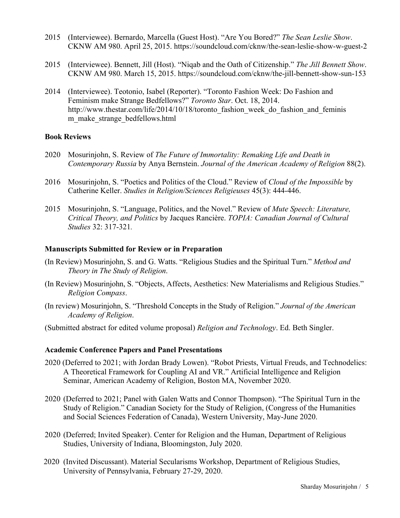- 2015 (Interviewee). Bernardo, Marcella (Guest Host). "Are You Bored?" *The Sean Leslie Show*. CKNW AM 980. April 25, 2015. https://soundcloud.com/cknw/the-sean-leslie-show-w-guest-2
- 2015 (Interviewee). Bennett, Jill (Host). "Niqab and the Oath of Citizenship." *The Jill Bennett Show*. CKNW AM 980. March 15, 2015. https://soundcloud.com/cknw/the-jill-bennett-show-sun-153
- 2014 (Interviewee). Teotonio, Isabel (Reporter). "Toronto Fashion Week: Do Fashion and Feminism make Strange Bedfellows?" *Toronto Star*. Oct. 18, 2014. http://www.thestar.com/life/2014/10/18/toronto\_fashion\_week\_do\_fashion\_and\_feminis m\_make\_strange\_bedfellows.html

## **Book Reviews**

- 2020 Mosurinjohn, S. Review of *The Future of Immortality: Remaking Life and Death in Contemporary Russia* by Anya Bernstein. *Journal of the American Academy of Religion* 88(2).
- 2016 Mosurinjohn, S. "Poetics and Politics of the Cloud." Review of *Cloud of the Impossible* by Catherine Keller. *Studies in Religion/Sciences Religieuses* 45(3): 444-446.
- 2015 Mosurinjohn, S. "Language, Politics, and the Novel." Review of *Mute Speech: Literature, Critical Theory, and Politics* by Jacques Rancière. *TOPIA: Canadian Journal of Cultural Studies* 32: 317-321*.*

## **Manuscripts Submitted for Review or in Preparation**

- (In Review) Mosurinjohn, S. and G. Watts. "Religious Studies and the Spiritual Turn." *Method and Theory in The Study of Religion*.
- (In Review) Mosurinjohn, S. "Objects, Affects, Aesthetics: New Materialisms and Religious Studies." *Religion Compass*.
- (In review) Mosurinjohn, S. "Threshold Concepts in the Study of Religion." *Journal of the American Academy of Religion*.
- (Submitted abstract for edited volume proposal) *Religion and Technology*. Ed. Beth Singler.

#### **Academic Conference Papers and Panel Presentations**

- 2020 (Deferred to 2021; with Jordan Brady Lowen). "Robot Priests, Virtual Freuds, and Technodelics: A Theoretical Framework for Coupling AI and VR." Artificial Intelligence and Religion Seminar, American Academy of Religion, Boston MA, November 2020.
- 2020 (Deferred to 2021; Panel with Galen Watts and Connor Thompson). "The Spiritual Turn in the Study of Religion." Canadian Society for the Study of Religion, (Congress of the Humanities and Social Sciences Federation of Canada), Western University, May-June 2020.
- 2020 (Deferred; Invited Speaker). Center for Religion and the Human, Department of Religious Studies, University of Indiana, Bloomingston, July 2020.
- 2020 (Invited Discussant). Material Secularisms Workshop, Department of Religious Studies, University of Pennsylvania, February 27-29, 2020.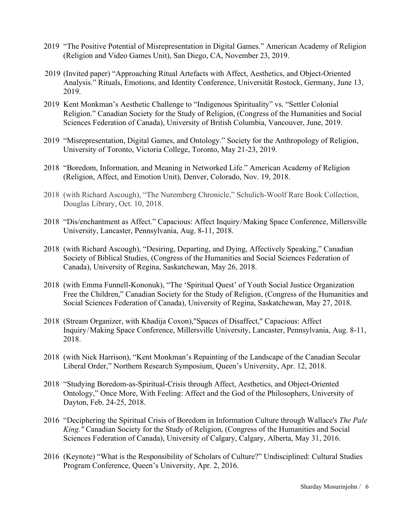- 2019 "The Positive Potential of Misrepresentation in Digital Games." American Academy of Religion (Religion and Video Games Unit), San Diego, CA, November 23, 2019.
- 2019 (Invited paper) "Approaching Ritual Artefacts with Affect, Aesthetics, and Object-Oriented Analysis." Rituals, Emotions, and Identity Conference, Universität Rostock, Germany, June 13, 2019.
- 2019 Kent Monkman's Aesthetic Challenge to "Indigenous Spirituality" vs. "Settler Colonial Religion." Canadian Society for the Study of Religion, (Congress of the Humanities and Social Sciences Federation of Canada), University of British Columbia, Vancouver, June, 2019.
- 2019 "Misrepresentation, Digital Games, and Ontology." Society for the Anthropology of Religion, University of Toronto, Victoria College, Toronto, May 21-23, 2019.
- 2018 "Boredom, Information, and Meaning in Networked Life." American Academy of Religion (Religion, Affect, and Emotion Unit), Denver, Colorado, Nov. 19, 2018.
- 2018 (with Richard Ascough), "The Nuremberg Chronicle," Schulich-Woolf Rare Book Collection, Douglas Library, Oct. 10, 2018.
- 2018 "Dis/enchantment as Affect." Capacious: Affect Inquiry/Making Space Conference, Millersville University, Lancaster, Pennsylvania, Aug. 8-11, 2018.
- 2018 (with Richard Ascough), "Desiring, Departing, and Dying, Affectively Speaking," Canadian Society of Biblical Studies, (Congress of the Humanities and Social Sciences Federation of Canada), University of Regina, Saskatchewan, May 26, 2018.
- 2018 (with Emma Funnell-Kononuk), "The 'Spiritual Quest' of Youth Social Justice Organization Free the Children," Canadian Society for the Study of Religion, (Congress of the Humanities and Social Sciences Federation of Canada), University of Regina, Saskatchewan, May 27, 2018.
- 2018 (Stream Organizer, with Khadija Coxon),"Spaces of Disaffect," Capacious: Affect Inquiry/Making Space Conference, Millersville University, Lancaster, Pennsylvania, Aug. 8-11, 2018.
- 2018 (with Nick Harrison), "Kent Monkman's Repainting of the Landscape of the Canadian Secular Liberal Order," Northern Research Symposium, Queen's University, Apr. 12, 2018.
- 2018 "Studying Boredom-as-Spiritual-Crisis through Affect, Aesthetics, and Object-Oriented Ontology," Once More, With Feeling: Affect and the God of the Philosophers, University of Dayton, Feb. 24-25, 2018.
- 2016 "Deciphering the Spiritual Crisis of Boredom in Information Culture through Wallace's *The Pale King."* Canadian Society for the Study of Religion, (Congress of the Humanities and Social Sciences Federation of Canada), University of Calgary, Calgary, Alberta, May 31, 2016.
- 2016 (Keynote) "What is the Responsibility of Scholars of Culture?" Undisciplined: Cultural Studies Program Conference, Queen's University, Apr. 2, 2016.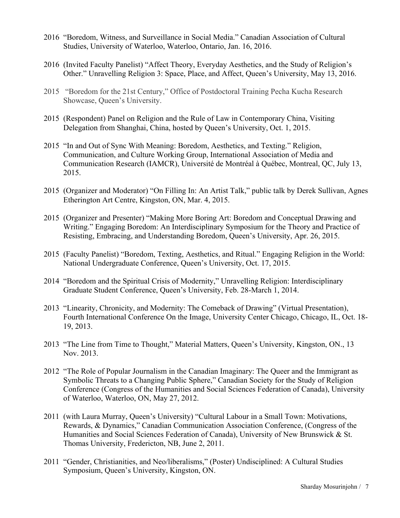- 2016 "Boredom, Witness, and Surveillance in Social Media." Canadian Association of Cultural Studies, University of Waterloo, Waterloo, Ontario, Jan. 16, 2016.
- 2016 (Invited Faculty Panelist) "Affect Theory, Everyday Aesthetics, and the Study of Religion's Other." Unravelling Religion 3: Space, Place, and Affect, Queen's University, May 13, 2016.
- 2015 "Boredom for the 21st Century," Office of Postdoctoral Training Pecha Kucha Research Showcase, Queen's University.
- 2015 (Respondent) Panel on Religion and the Rule of Law in Contemporary China, Visiting Delegation from Shanghai, China, hosted by Queen's University, Oct. 1, 2015.
- 2015 "In and Out of Sync With Meaning: Boredom, Aesthetics, and Texting." Religion, Communication, and Culture Working Group, International Association of Media and Communication Research (IAMCR), Université de Montréal à Québec, Montreal, QC, July 13, 2015.
- 2015 (Organizer and Moderator) "On Filling In: An Artist Talk," public talk by Derek Sullivan, Agnes Etherington Art Centre, Kingston, ON, Mar. 4, 2015.
- 2015 (Organizer and Presenter) "Making More Boring Art: Boredom and Conceptual Drawing and Writing." Engaging Boredom: An Interdisciplinary Symposium for the Theory and Practice of Resisting, Embracing, and Understanding Boredom, Queen's University, Apr. 26, 2015.
- 2015 (Faculty Panelist) "Boredom, Texting, Aesthetics, and Ritual." Engaging Religion in the World: National Undergraduate Conference, Queen's University, Oct. 17, 2015.
- 2014 "Boredom and the Spiritual Crisis of Modernity," Unravelling Religion: Interdisciplinary Graduate Student Conference, Queen's University, Feb. 28-March 1, 2014.
- 2013 "Linearity, Chronicity, and Modernity: The Comeback of Drawing" (Virtual Presentation), Fourth International Conference On the Image, University Center Chicago, Chicago, IL, Oct. 18- 19, 2013.
- 2013 "The Line from Time to Thought," Material Matters, Queen's University, Kingston, ON., 13 Nov. 2013.
- 2012 "The Role of Popular Journalism in the Canadian Imaginary: The Queer and the Immigrant as Symbolic Threats to a Changing Public Sphere," Canadian Society for the Study of Religion Conference (Congress of the Humanities and Social Sciences Federation of Canada), University of Waterloo, Waterloo, ON, May 27, 2012.
- 2011 (with Laura Murray, Queen's University) "Cultural Labour in a Small Town: Motivations, Rewards, & Dynamics," Canadian Communication Association Conference, (Congress of the Humanities and Social Sciences Federation of Canada), University of New Brunswick & St. Thomas University, Fredericton, NB, June 2, 2011.
- 2011 "Gender, Christianities, and Neo/liberalisms," (Poster) Undisciplined: A Cultural Studies Symposium, Queen's University, Kingston, ON.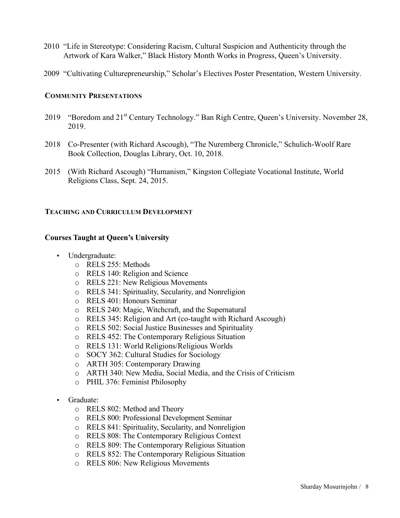- 2010 "Life in Stereotype: Considering Racism, Cultural Suspicion and Authenticity through the Artwork of Kara Walker," Black History Month Works in Progress, Queen's University.
- 2009 "Cultivating Culturepreneurship," Scholar's Electives Poster Presentation, Western University.

## **COMMUNITY PRESENTATIONS**

- 2019 "Boredom and 21<sup>st</sup> Century Technology." Ban Righ Centre, Queen's University. November 28, 2019.
- 2018 Co-Presenter (with Richard Ascough), "The Nuremberg Chronicle," Schulich-Woolf Rare Book Collection, Douglas Library, Oct. 10, 2018.
- 2015 (With Richard Ascough) "Humanism," Kingston Collegiate Vocational Institute, World Religions Class, Sept. 24, 2015.

#### **TEACHING AND CURRICULUM DEVELOPMENT**

#### **Courses Taught at Queen's University**

- Undergraduate:
	- o RELS 255: Methods
	- o RELS 140: Religion and Science
	- o RELS 221: New Religious Movements
	- o RELS 341: Spirituality, Secularity, and Nonreligion
	- o RELS 401: Honours Seminar
	- o RELS 240: Magic, Witchcraft, and the Supernatural
	- o RELS 345: Religion and Art (co-taught with Richard Ascough)
	- o RELS 502: Social Justice Businesses and Spirituality
	- o RELS 452: The Contemporary Religious Situation
	- o RELS 131: World Religions/Religious Worlds
	- o SOCY 362: Cultural Studies for Sociology
	- o ARTH 305: Contemporary Drawing
	- o ARTH 340: New Media, Social Media, and the Crisis of Criticism
	- o PHIL 376: Feminist Philosophy
- Graduate:
	- o RELS 802: Method and Theory
	- o RELS 800: Professional Development Seminar
	- o RELS 841: Spirituality, Secularity, and Nonreligion
	- o RELS 808: The Contemporary Religious Context
	- o RELS 809: The Contemporary Religious Situation
	- o RELS 852: The Contemporary Religious Situation
	- o RELS 806: New Religious Movements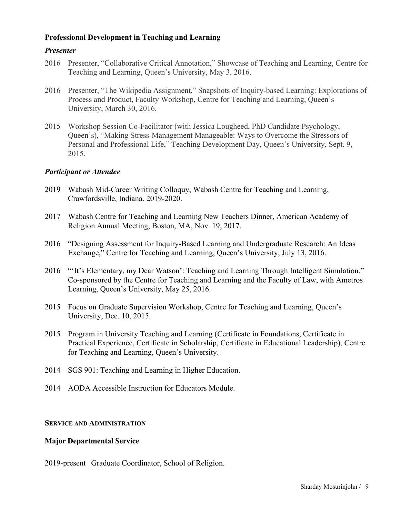# **Professional Development in Teaching and Learning**

# *Presenter*

- 2016 Presenter, "Collaborative Critical Annotation," Showcase of Teaching and Learning, Centre for Teaching and Learning, Queen's University, May 3, 2016.
- 2016 Presenter, "The Wikipedia Assignment," Snapshots of Inquiry-based Learning: Explorations of Process and Product, Faculty Workshop, Centre for Teaching and Learning, Queen's University, March 30, 2016.
- 2015 Workshop Session Co-Facilitator (with Jessica Lougheed, PhD Candidate Psychology, Queen's), "Making Stress-Management Manageable: Ways to Overcome the Stressors of Personal and Professional Life," Teaching Development Day, Queen's University, Sept. 9, 2015.

## *Participant or Attendee*

- 2019 Wabash Mid-Career Writing Colloquy, Wabash Centre for Teaching and Learning, Crawfordsville, Indiana. 2019-2020.
- 2017 Wabash Centre for Teaching and Learning New Teachers Dinner, American Academy of Religion Annual Meeting, Boston, MA, Nov. 19, 2017.
- 2016 "Designing Assessment for Inquiry-Based Learning and Undergraduate Research: An Ideas Exchange," Centre for Teaching and Learning, Queen's University, July 13, 2016.
- 2016 "'It's Elementary, my Dear Watson': Teaching and Learning Through Intelligent Simulation," Co-sponsored by the Centre for Teaching and Learning and the Faculty of Law, with Ametros Learning, Queen's University, May 25, 2016.
- 2015 Focus on Graduate Supervision Workshop, Centre for Teaching and Learning, Queen's University, Dec. 10, 2015.
- 2015 Program in University Teaching and Learning (Certificate in Foundations, Certificate in Practical Experience, Certificate in Scholarship, Certificate in Educational Leadership), Centre for Teaching and Learning, Queen's University.
- 2014 SGS 901: Teaching and Learning in Higher Education.
- 2014 AODA Accessible Instruction for Educators Module.

## **SERVICE AND ADMINISTRATION**

## **Major Departmental Service**

2019-present Graduate Coordinator, School of Religion.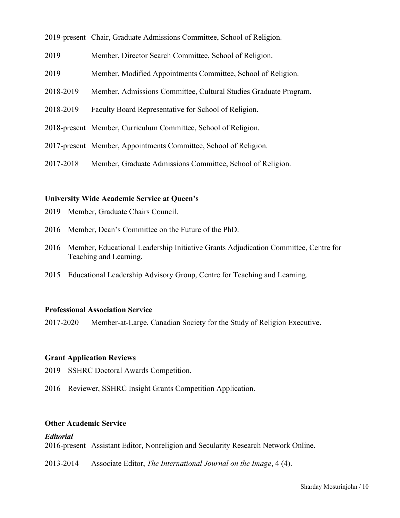- 2019-present Chair, Graduate Admissions Committee, School of Religion.
- 2019 Member, Director Search Committee, School of Religion.
- 2019 Member, Modified Appointments Committee, School of Religion.
- 2018-2019 Member, Admissions Committee, Cultural Studies Graduate Program.
- 2018-2019 Faculty Board Representative for School of Religion.
- 2018-present Member, Curriculum Committee, School of Religion.
- 2017-present Member, Appointments Committee, School of Religion.
- 2017-2018 Member, Graduate Admissions Committee, School of Religion.

#### **University Wide Academic Service at Queen's**

- 2019 Member, Graduate Chairs Council.
- 2016 Member, Dean's Committee on the Future of the PhD.
- 2016 Member, Educational Leadership Initiative Grants Adjudication Committee, Centre for Teaching and Learning.
- 2015 Educational Leadership Advisory Group, Centre for Teaching and Learning.

## **Professional Association Service**

2017-2020 Member-at-Large, Canadian Society for the Study of Religion Executive.

#### **Grant Application Reviews**

- 2019 SSHRC Doctoral Awards Competition.
- 2016 Reviewer, SSHRC Insight Grants Competition Application.

## **Other Academic Service**

### *Editorial*

2016-present Assistant Editor, Nonreligion and Secularity Research Network Online.

2013-2014 Associate Editor, *The International Journal on the Image*, 4 (4).